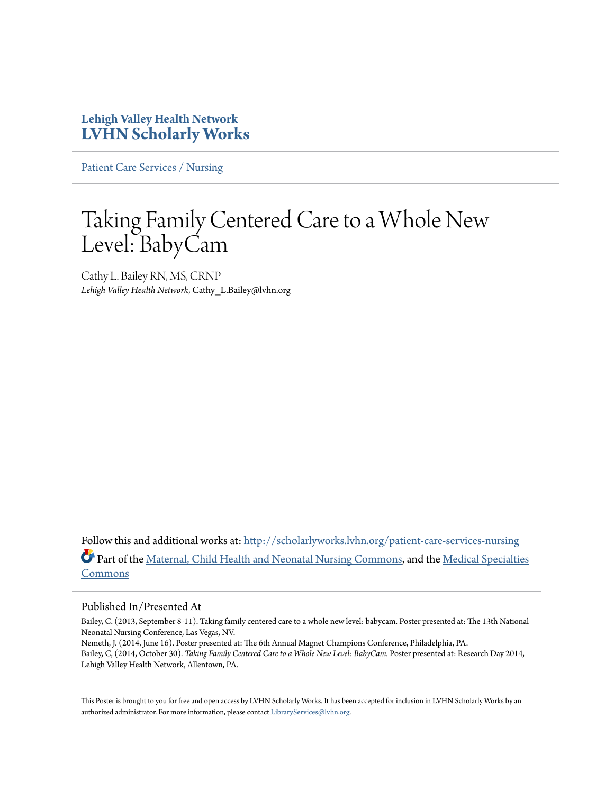### **Lehigh Valley Health Network [LVHN Scholarly Works](http://scholarlyworks.lvhn.org?utm_source=scholarlyworks.lvhn.org%2Fpatient-care-services-nursing%2F267&utm_medium=PDF&utm_campaign=PDFCoverPages)**

[Patient Care Services / Nursing](http://scholarlyworks.lvhn.org/patient-care-services-nursing?utm_source=scholarlyworks.lvhn.org%2Fpatient-care-services-nursing%2F267&utm_medium=PDF&utm_campaign=PDFCoverPages)

### Taking Family Centered Care to a Whole New Level: BabyCam

Cathy L. Bailey RN, MS, CRNP *Lehigh Valley Health Network*, Cathy\_L.Bailey@lvhn.org

Follow this and additional works at: [http://scholarlyworks.lvhn.org/patient-care-services-nursing](http://scholarlyworks.lvhn.org/patient-care-services-nursing?utm_source=scholarlyworks.lvhn.org%2Fpatient-care-services-nursing%2F267&utm_medium=PDF&utm_campaign=PDFCoverPages) Part of the [Maternal, Child Health and Neonatal Nursing Commons](http://network.bepress.com/hgg/discipline/721?utm_source=scholarlyworks.lvhn.org%2Fpatient-care-services-nursing%2F267&utm_medium=PDF&utm_campaign=PDFCoverPages), and the [Medical Specialties](http://network.bepress.com/hgg/discipline/680?utm_source=scholarlyworks.lvhn.org%2Fpatient-care-services-nursing%2F267&utm_medium=PDF&utm_campaign=PDFCoverPages) [Commons](http://network.bepress.com/hgg/discipline/680?utm_source=scholarlyworks.lvhn.org%2Fpatient-care-services-nursing%2F267&utm_medium=PDF&utm_campaign=PDFCoverPages)

### Published In/Presented At

Bailey, C. (2013, September 8-11). Taking family centered care to a whole new level: babycam. Poster presented at: The 13th National Neonatal Nursing Conference, Las Vegas, NV.

Nemeth, J. (2014, June 16). Poster presented at: The 6th Annual Magnet Champions Conference, Philadelphia, PA. Bailey, C, (2014, October 30). *Taking Family Centered Care to a Whole New Level: BabyCam.* Poster presented at: Research Day 2014, Lehigh Valley Health Network, Allentown, PA.

This Poster is brought to you for free and open access by LVHN Scholarly Works. It has been accepted for inclusion in LVHN Scholarly Works by an authorized administrator. For more information, please contact [LibraryServices@lvhn.org.](mailto:LibraryServices@lvhn.org)